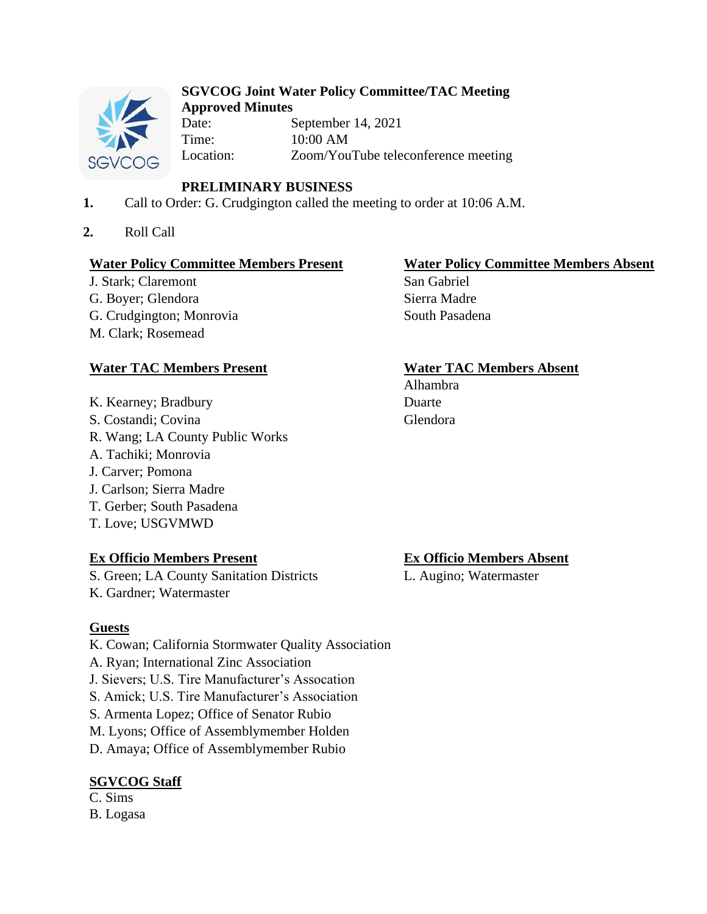

## **SGVCOG Joint Water Policy Committee/TAC Meeting Approved Minutes**

Date: September 14, 2021 Time: 10:00 AM Location: Zoom/YouTube teleconference meeting

# **PRELIMINARY BUSINESS**

- **1.** Call to Order: G. Crudgington called the meeting to order at 10:06 A.M.
- **2.** Roll Call

## **Water Policy Committee Members Present Water Policy Committee Members Absent**

J. Stark; Claremont San Gabriel G. Boyer; Glendora Sierra Madre G. Crudgington; Monrovia South Pasadena M. Clark; Rosemead

## **Water TAC Members Present Water TAC Members Absent**

K. Kearney; Bradbury Duarte S. Costandi; Covina Glendora R. Wang; LA County Public Works A. Tachiki; Monrovia J. Carver; Pomona J. Carlson; Sierra Madre T. Gerber; South Pasadena T. Love; USGVMWD

## **Ex Officio Members Present Ex Officio Members Absent**

S. Green; LA County Sanitation Districts L. Augino; Watermaster K. Gardner; Watermaster

# **Guests**

- K. Cowan; California Stormwater Quality Association
- A. Ryan; International Zinc Association
- J. Sievers; U.S. Tire Manufacturer's Assocation
- S. Amick; U.S. Tire Manufacturer's Association
- S. Armenta Lopez; Office of Senator Rubio
- M. Lyons; Office of Assemblymember Holden
- D. Amaya; Office of Assemblymember Rubio

# **SGVCOG Staff**

#### C. Sims B. Logasa

Alhambra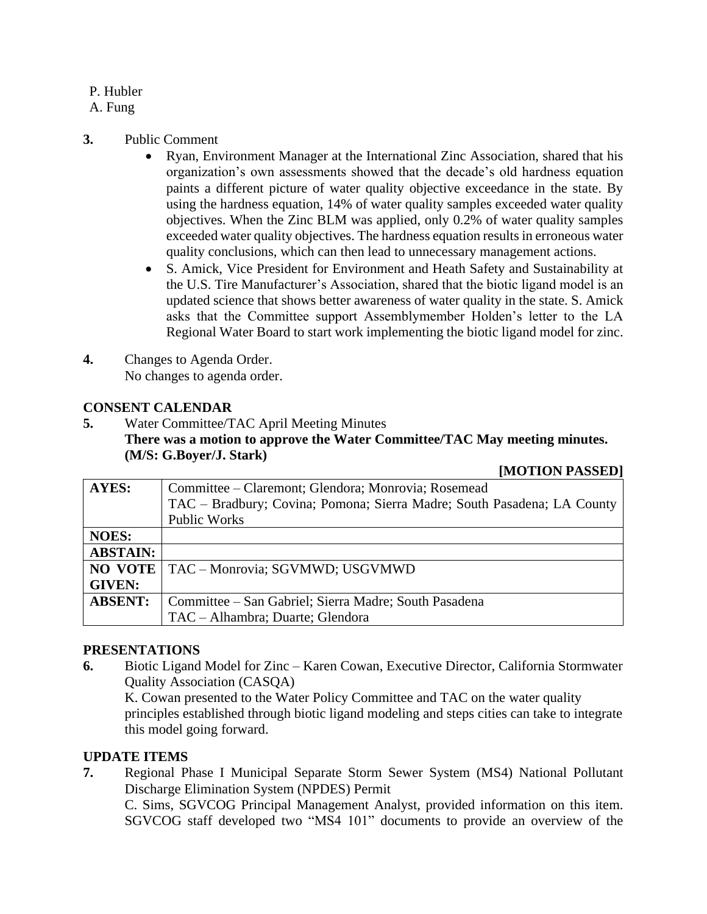## P. Hubler

## A. Fung

## **3.** Public Comment

- Ryan, Environment Manager at the International Zinc Association, shared that his organization's own assessments showed that the decade's old hardness equation paints a different picture of water quality objective exceedance in the state. By using the hardness equation, 14% of water quality samples exceeded water quality objectives. When the Zinc BLM was applied, only 0.2% of water quality samples exceeded water quality objectives. The hardness equation results in erroneous water quality conclusions, which can then lead to unnecessary management actions.
- S. Amick, Vice President for Environment and Heath Safety and Sustainability at the U.S. Tire Manufacturer's Association, shared that the biotic ligand model is an updated science that shows better awareness of water quality in the state. S. Amick asks that the Committee support Assemblymember Holden's letter to the LA Regional Water Board to start work implementing the biotic ligand model for zinc.
- **4.** Changes to Agenda Order. No changes to agenda order.

## **CONSENT CALENDAR**

**5.** Water Committee/TAC April Meeting Minutes **There was a motion to approve the Water Committee/TAC May meeting minutes. (M/S: G.Boyer/J. Stark)**

#### **[MOTION PASSED]**

| <b>AYES:</b>    | Committee – Claremont; Glendora; Monrovia; Rosemead                     |
|-----------------|-------------------------------------------------------------------------|
|                 | TAC – Bradbury; Covina; Pomona; Sierra Madre; South Pasadena; LA County |
|                 | <b>Public Works</b>                                                     |
| <b>NOES:</b>    |                                                                         |
| <b>ABSTAIN:</b> |                                                                         |
| NO VOTE         | TAC - Monrovia; SGVMWD; USGVMWD                                         |
| <b>GIVEN:</b>   |                                                                         |
| <b>ABSENT:</b>  | Committee – San Gabriel; Sierra Madre; South Pasadena                   |
|                 | TAC - Alhambra; Duarte; Glendora                                        |

#### **PRESENTATIONS**

**6.** Biotic Ligand Model for Zinc – Karen Cowan, Executive Director, California Stormwater Quality Association (CASQA)

K. Cowan presented to the Water Policy Committee and TAC on the water quality principles established through biotic ligand modeling and steps cities can take to integrate this model going forward.

## **UPDATE ITEMS**

**7.** Regional Phase I Municipal Separate Storm Sewer System (MS4) National Pollutant Discharge Elimination System (NPDES) Permit

C. Sims, SGVCOG Principal Management Analyst, provided information on this item. SGVCOG staff developed two "MS4 101" documents to provide an overview of the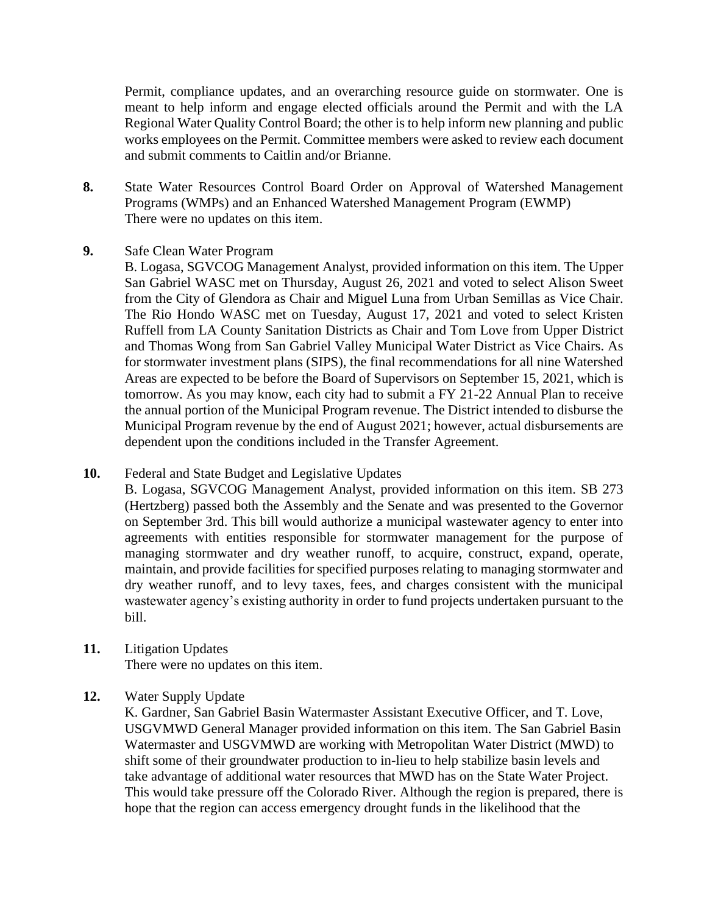Permit, compliance updates, and an overarching resource guide on stormwater. One is meant to help inform and engage elected officials around the Permit and with the LA Regional Water Quality Control Board; the other is to help inform new planning and public works employees on the Permit. Committee members were asked to review each document and submit comments to Caitlin and/or Brianne.

- **8.** State Water Resources Control Board Order on Approval of Watershed Management Programs (WMPs) and an Enhanced Watershed Management Program (EWMP) There were no updates on this item.
- **9.** Safe Clean Water Program
	- B. Logasa, SGVCOG Management Analyst, provided information on this item. The Upper San Gabriel WASC met on Thursday, August 26, 2021 and voted to select Alison Sweet from the City of Glendora as Chair and Miguel Luna from Urban Semillas as Vice Chair. The Rio Hondo WASC met on Tuesday, August 17, 2021 and voted to select Kristen Ruffell from LA County Sanitation Districts as Chair and Tom Love from Upper District and Thomas Wong from San Gabriel Valley Municipal Water District as Vice Chairs. As for stormwater investment plans (SIPS), the final recommendations for all nine Watershed Areas are expected to be before the Board of Supervisors on September 15, 2021, which is tomorrow. As you may know, each city had to submit a FY 21-22 Annual Plan to receive the annual portion of the Municipal Program revenue. The District intended to disburse the Municipal Program revenue by the end of August 2021; however, actual disbursements are dependent upon the conditions included in the Transfer Agreement.
- **10.** Federal and State Budget and Legislative Updates
	- B. Logasa, SGVCOG Management Analyst, provided information on this item. SB 273 (Hertzberg) passed both the Assembly and the Senate and was presented to the Governor on September 3rd. This bill would authorize a municipal wastewater agency to enter into agreements with entities responsible for stormwater management for the purpose of managing stormwater and dry weather runoff, to acquire, construct, expand, operate, maintain, and provide facilities for specified purposes relating to managing stormwater and dry weather runoff, and to levy taxes, fees, and charges consistent with the municipal wastewater agency's existing authority in order to fund projects undertaken pursuant to the bill.
- **11.** Litigation Updates There were no updates on this item.
- **12.** Water Supply Update

K. Gardner, San Gabriel Basin Watermaster Assistant Executive Officer, and T. Love, USGVMWD General Manager provided information on this item. The San Gabriel Basin Watermaster and USGVMWD are working with Metropolitan Water District (MWD) to shift some of their groundwater production to in-lieu to help stabilize basin levels and take advantage of additional water resources that MWD has on the State Water Project. This would take pressure off the Colorado River. Although the region is prepared, there is hope that the region can access emergency drought funds in the likelihood that the